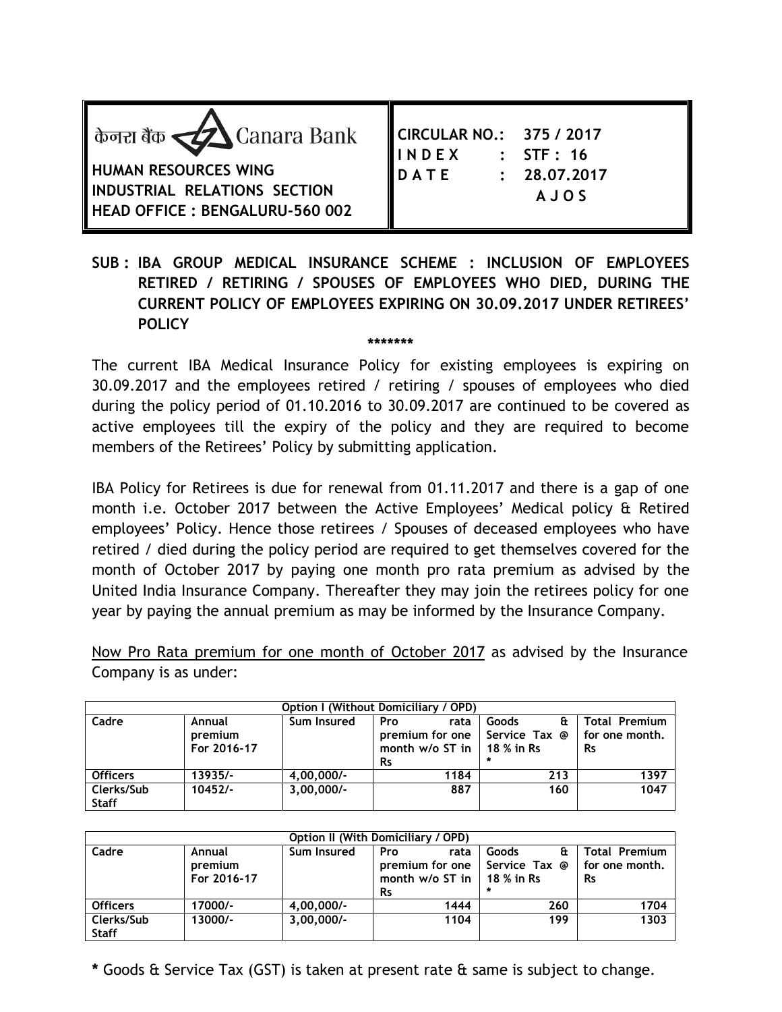| केनरा बैंक $\triangle$ Canara Bank<br><b>HUMAN RESOURCES WING</b><br>INDUSTRIAL RELATIONS SECTION<br>HEAD OFFICE : BENGALURU-560 002 | CIRCULAR NO.: 375 / 2017<br>$\therefore$ STF $: 16$<br><b>INDEX</b><br><b>IDATE</b><br>: 28.07,2017<br><b>AJOS</b> |
|--------------------------------------------------------------------------------------------------------------------------------------|--------------------------------------------------------------------------------------------------------------------|
|--------------------------------------------------------------------------------------------------------------------------------------|--------------------------------------------------------------------------------------------------------------------|

## **SUB : IBA GROUP MEDICAL INSURANCE SCHEME : INCLUSION OF EMPLOYEES RETIRED / RETIRING / SPOUSES OF EMPLOYEES WHO DIED, DURING THE CURRENT POLICY OF EMPLOYEES EXPIRING ON 30.09.2017 UNDER RETIREES' POLICY**

**\*\*\*\*\*\*\***

The current IBA Medical Insurance Policy for existing employees is expiring on 30.09.2017 and the employees retired / retiring / spouses of employees who died during the policy period of 01.10.2016 to 30.09.2017 are continued to be covered as active employees till the expiry of the policy and they are required to become members of the Retirees' Policy by submitting application.

IBA Policy for Retirees is due for renewal from 01.11.2017 and there is a gap of one month i.e. October 2017 between the Active Employees' Medical policy & Retired employees' Policy. Hence those retirees / Spouses of deceased employees who have retired / died during the policy period are required to get themselves covered for the month of October 2017 by paying one month pro rata premium as advised by the United India Insurance Company. Thereafter they may join the retirees policy for one year by paying the annual premium as may be informed by the Insurance Company.

Now Pro Rata premium for one month of October 2017 as advised by the Insurance Company is as under:

| Option I (Without Domiciliary / OPD) |                                  |              |                                                                              |                                            |                                                     |  |  |
|--------------------------------------|----------------------------------|--------------|------------------------------------------------------------------------------|--------------------------------------------|-----------------------------------------------------|--|--|
| Cadre                                | Annual<br>premium<br>For 2016-17 | Sum Insured  | Pro<br>rata<br>premium for one<br>month $w/o$ ST in $\parallel$<br><b>Rs</b> | Goods<br>εt<br>Service Tax @<br>18 % in Rs | <b>Total Premium</b><br>for one month.<br><b>Rs</b> |  |  |
| <b>Officers</b>                      | $13935/-$                        | $4,00,000/-$ | 1184                                                                         | 213                                        | 1397                                                |  |  |
| Clerks/Sub<br><b>Staff</b>           | $10452/-$                        | $3.00.000/-$ | 887                                                                          | 160                                        | 1047                                                |  |  |

| Option II (With Domiciliary / OPD) |                                  |              |                                                                               |                              |                                                     |  |  |
|------------------------------------|----------------------------------|--------------|-------------------------------------------------------------------------------|------------------------------|-----------------------------------------------------|--|--|
| Cadre                              | Annual<br>premium<br>For 2016-17 | Sum Insured  | Pro<br>rata<br>premium for one<br>month $w/o$ ST in   18 % in Rs<br><b>Rs</b> | Goods<br>Έt<br>Service Tax @ | <b>Total Premium</b><br>for one month.<br><b>Rs</b> |  |  |
| <b>Officers</b>                    | 17000/-                          | $4,00,000/-$ | 1444                                                                          | 260                          | 1704                                                |  |  |
| Clerks/Sub<br><b>Staff</b>         | 13000/-                          | $3,00,000/-$ | 1104                                                                          | 199                          | 1303                                                |  |  |

**\*** Goods & Service Tax (GST) is taken at present rate & same is subject to change.